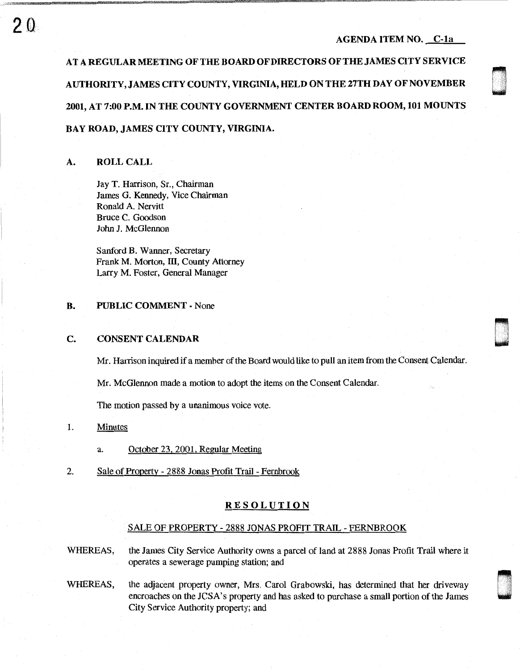n u

AT A REGULAR MEETING OF THE BOARD OF DIRECTORS OF THE JAMES CITY SERVICE AUTHORITY, JAMES CITY COUNTY, VIRGINIA, HELD ON THE 27TH DAY OF NOVEMBER 2001, AT 7:00 P.M. IN THE COUNTY GOVERNMENT CENTER BOARD ROOM, 101 MOUNTS BAY ROAD, JAMES CITY COUNTY, VIRGINIA.

### A. ROLL CALL

2Q

Jay T. Harrison, Sr., Chairman James G. Kennedy, Vice Chairman Ronald A. Nervitt Bruce C. Goodson John J. McGlennon

Sanford B. Wanner, Secretary Frank M. Morton, III, County Attorney Larry M. Foster, General Manager

### B. PUBLIC COMMENT - None

### c. CONSENT CALENDAR

Mr. Harrison inquired if a member of the Board would like to pull an item from the Consent Calendar.

Mr. McGlennon made a motion to adopt the items on the Consent Calendar.

The motion passed by a unanimous voice vote.

### 1. Minutes

- a. October 23, 2001, Regular Meeting
- 2. Sale of Property 2888 Jonas Profit Trail Pembrook

## **RESOLUTION**

### SALE OF PROPERTY - 2888 JONAS PROFIT TRAIL - FERNBROOK

WHEREAS, the James City Service Authority owns a parcel of land at 2888 Jonas Profit Trail where it operates a sewerage pumping station; and

WHEREAS, the adjacent property owner, Mrs. Carol Grabowski, has determined that her driveway encroaches on the JCSA's property and has asked to purchase a small portion of the James City Service Authority property; and